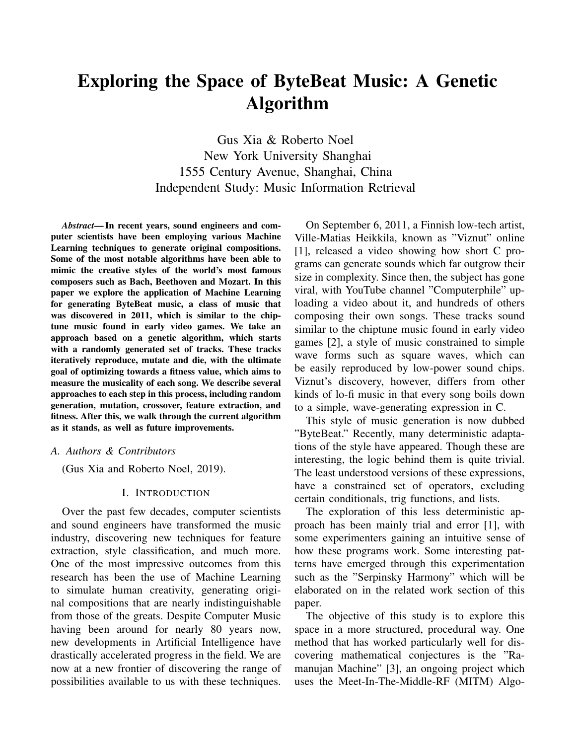# Exploring the Space of ByteBeat Music: A Genetic Algorithm

Gus Xia & Roberto Noel New York University Shanghai 1555 Century Avenue, Shanghai, China Independent Study: Music Information Retrieval

*Abstract*— In recent years, sound engineers and computer scientists have been employing various Machine Learning techniques to generate original compositions. Some of the most notable algorithms have been able to mimic the creative styles of the world's most famous composers such as Bach, Beethoven and Mozart. In this paper we explore the application of Machine Learning for generating ByteBeat music, a class of music that was discovered in 2011, which is similar to the chiptune music found in early video games. We take an approach based on a genetic algorithm, which starts with a randomly generated set of tracks. These tracks iteratively reproduce, mutate and die, with the ultimate goal of optimizing towards a fitness value, which aims to measure the musicality of each song. We describe several approaches to each step in this process, including random generation, mutation, crossover, feature extraction, and fitness. After this, we walk through the current algorithm as it stands, as well as future improvements.

#### *A. Authors & Contributors*

(Gus Xia and Roberto Noel, 2019).

## I. INTRODUCTION

Over the past few decades, computer scientists and sound engineers have transformed the music industry, discovering new techniques for feature extraction, style classification, and much more. One of the most impressive outcomes from this research has been the use of Machine Learning to simulate human creativity, generating original compositions that are nearly indistinguishable from those of the greats. Despite Computer Music having been around for nearly 80 years now, new developments in Artificial Intelligence have drastically accelerated progress in the field. We are now at a new frontier of discovering the range of possibilities available to us with these techniques.

On September 6, 2011, a Finnish low-tech artist, Ville-Matias Heikkila, known as "Viznut" online [1], released a video showing how short C programs can generate sounds which far outgrow their size in complexity. Since then, the subject has gone viral, with YouTube channel "Computerphile" uploading a video about it, and hundreds of others composing their own songs. These tracks sound similar to the chiptune music found in early video games [2], a style of music constrained to simple wave forms such as square waves, which can be easily reproduced by low-power sound chips. Viznut's discovery, however, differs from other kinds of lo-fi music in that every song boils down to a simple, wave-generating expression in C.

This style of music generation is now dubbed "ByteBeat." Recently, many deterministic adaptations of the style have appeared. Though these are interesting, the logic behind them is quite trivial. The least understood versions of these expressions, have a constrained set of operators, excluding certain conditionals, trig functions, and lists.

The exploration of this less deterministic approach has been mainly trial and error [1], with some experimenters gaining an intuitive sense of how these programs work. Some interesting patterns have emerged through this experimentation such as the "Serpinsky Harmony" which will be elaborated on in the related work section of this paper.

The objective of this study is to explore this space in a more structured, procedural way. One method that has worked particularly well for discovering mathematical conjectures is the "Ramanujan Machine" [3], an ongoing project which uses the Meet-In-The-Middle-RF (MITM) Algo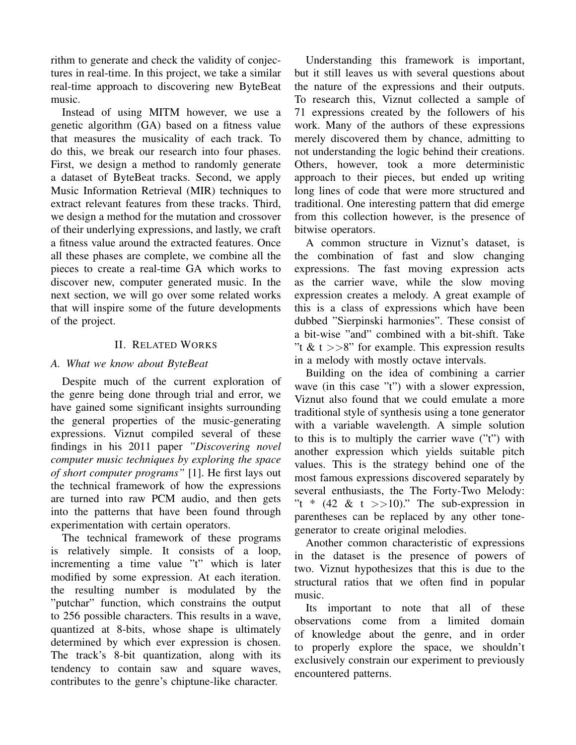rithm to generate and check the validity of conjectures in real-time. In this project, we take a similar real-time approach to discovering new ByteBeat music.

Instead of using MITM however, we use a genetic algorithm (GA) based on a fitness value that measures the musicality of each track. To do this, we break our research into four phases. First, we design a method to randomly generate a dataset of ByteBeat tracks. Second, we apply Music Information Retrieval (MIR) techniques to extract relevant features from these tracks. Third, we design a method for the mutation and crossover of their underlying expressions, and lastly, we craft a fitness value around the extracted features. Once all these phases are complete, we combine all the pieces to create a real-time GA which works to discover new, computer generated music. In the next section, we will go over some related works that will inspire some of the future developments of the project.

# II. RELATED WORKS

# *A. What we know about ByteBeat*

Despite much of the current exploration of the genre being done through trial and error, we have gained some significant insights surrounding the general properties of the music-generating expressions. Viznut compiled several of these findings in his 2011 paper *"Discovering novel computer music techniques by exploring the space of short computer programs"* [1]. He first lays out the technical framework of how the expressions are turned into raw PCM audio, and then gets into the patterns that have been found through experimentation with certain operators.

The technical framework of these programs is relatively simple. It consists of a loop, incrementing a time value "t" which is later modified by some expression. At each iteration. the resulting number is modulated by the "putchar" function, which constrains the output to 256 possible characters. This results in a wave, quantized at 8-bits, whose shape is ultimately determined by which ever expression is chosen. The track's 8-bit quantization, along with its tendency to contain saw and square waves, contributes to the genre's chiptune-like character.

Understanding this framework is important, but it still leaves us with several questions about the nature of the expressions and their outputs. To research this, Viznut collected a sample of 71 expressions created by the followers of his work. Many of the authors of these expressions merely discovered them by chance, admitting to not understanding the logic behind their creations. Others, however, took a more deterministic approach to their pieces, but ended up writing long lines of code that were more structured and traditional. One interesting pattern that did emerge from this collection however, is the presence of bitwise operators.

A common structure in Viznut's dataset, is the combination of fast and slow changing expressions. The fast moving expression acts as the carrier wave, while the slow moving expression creates a melody. A great example of this is a class of expressions which have been dubbed "Sierpinski harmonies". These consist of a bit-wise "and" combined with a bit-shift. Take "t & t  $>>8$ " for example. This expression results in a melody with mostly octave intervals.

Building on the idea of combining a carrier wave (in this case "t") with a slower expression, Viznut also found that we could emulate a more traditional style of synthesis using a tone generator with a variable wavelength. A simple solution to this is to multiply the carrier wave ("t") with another expression which yields suitable pitch values. This is the strategy behind one of the most famous expressions discovered separately by several enthusiasts, the The Forty-Two Melody: "t \*  $(42 \& t \geq) 10$ ." The sub-expression in parentheses can be replaced by any other tonegenerator to create original melodies.

Another common characteristic of expressions in the dataset is the presence of powers of two. Viznut hypothesizes that this is due to the structural ratios that we often find in popular music.

Its important to note that all of these observations come from a limited domain of knowledge about the genre, and in order to properly explore the space, we shouldn't exclusively constrain our experiment to previously encountered patterns.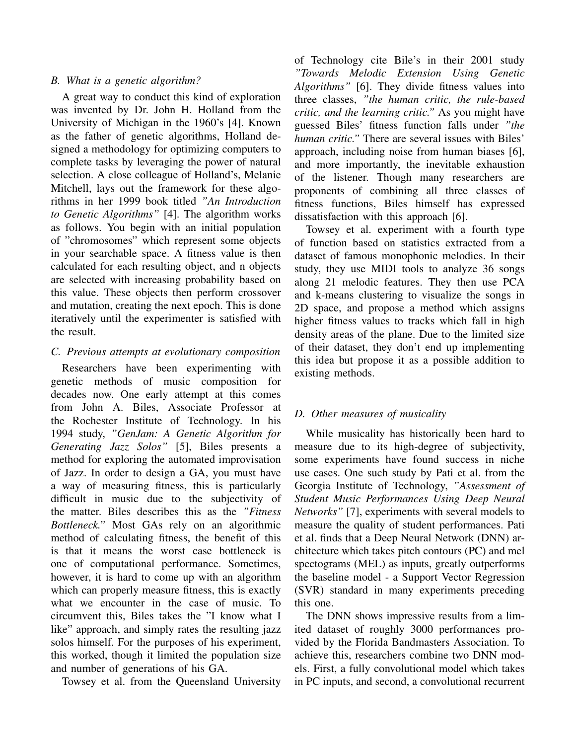# *B. What is a genetic algorithm?*

A great way to conduct this kind of exploration was invented by Dr. John H. Holland from the University of Michigan in the 1960's [4]. Known as the father of genetic algorithms, Holland designed a methodology for optimizing computers to complete tasks by leveraging the power of natural selection. A close colleague of Holland's, Melanie Mitchell, lays out the framework for these algorithms in her 1999 book titled *"An Introduction to Genetic Algorithms"* [4]. The algorithm works as follows. You begin with an initial population of "chromosomes" which represent some objects in your searchable space. A fitness value is then calculated for each resulting object, and n objects are selected with increasing probability based on this value. These objects then perform crossover and mutation, creating the next epoch. This is done iteratively until the experimenter is satisfied with the result.

# *C. Previous attempts at evolutionary composition*

Researchers have been experimenting with genetic methods of music composition for decades now. One early attempt at this comes from John A. Biles, Associate Professor at the Rochester Institute of Technology. In his 1994 study, *"GenJam: A Genetic Algorithm for Generating Jazz Solos"* [5], Biles presents a method for exploring the automated improvisation of Jazz. In order to design a GA, you must have a way of measuring fitness, this is particularly difficult in music due to the subjectivity of the matter. Biles describes this as the *"Fitness Bottleneck."* Most GAs rely on an algorithmic method of calculating fitness, the benefit of this is that it means the worst case bottleneck is one of computational performance. Sometimes, however, it is hard to come up with an algorithm which can properly measure fitness, this is exactly what we encounter in the case of music. To circumvent this, Biles takes the "I know what I like" approach, and simply rates the resulting jazz solos himself. For the purposes of his experiment, this worked, though it limited the population size and number of generations of his GA.

Towsey et al. from the Queensland University

of Technology cite Bile's in their 2001 study *"Towards Melodic Extension Using Genetic Algorithms"* [6]. They divide fitness values into three classes, *"the human critic, the rule-based critic, and the learning critic."* As you might have guessed Biles' fitness function falls under *"the human critic."* There are several issues with Biles' approach, including noise from human biases [6], and more importantly, the inevitable exhaustion of the listener. Though many researchers are proponents of combining all three classes of fitness functions, Biles himself has expressed dissatisfaction with this approach [6].

Towsey et al. experiment with a fourth type of function based on statistics extracted from a dataset of famous monophonic melodies. In their study, they use MIDI tools to analyze 36 songs along 21 melodic features. They then use PCA and k-means clustering to visualize the songs in 2D space, and propose a method which assigns higher fitness values to tracks which fall in high density areas of the plane. Due to the limited size of their dataset, they don't end up implementing this idea but propose it as a possible addition to existing methods.

# *D. Other measures of musicality*

While musicality has historically been hard to measure due to its high-degree of subjectivity, some experiments have found success in niche use cases. One such study by Pati et al. from the Georgia Institute of Technology, *"Assessment of Student Music Performances Using Deep Neural Networks"* [7], experiments with several models to measure the quality of student performances. Pati et al. finds that a Deep Neural Network (DNN) architecture which takes pitch contours (PC) and mel spectograms (MEL) as inputs, greatly outperforms the baseline model - a Support Vector Regression (SVR) standard in many experiments preceding this one.

The DNN shows impressive results from a limited dataset of roughly 3000 performances provided by the Florida Bandmasters Association. To achieve this, researchers combine two DNN models. First, a fully convolutional model which takes in PC inputs, and second, a convolutional recurrent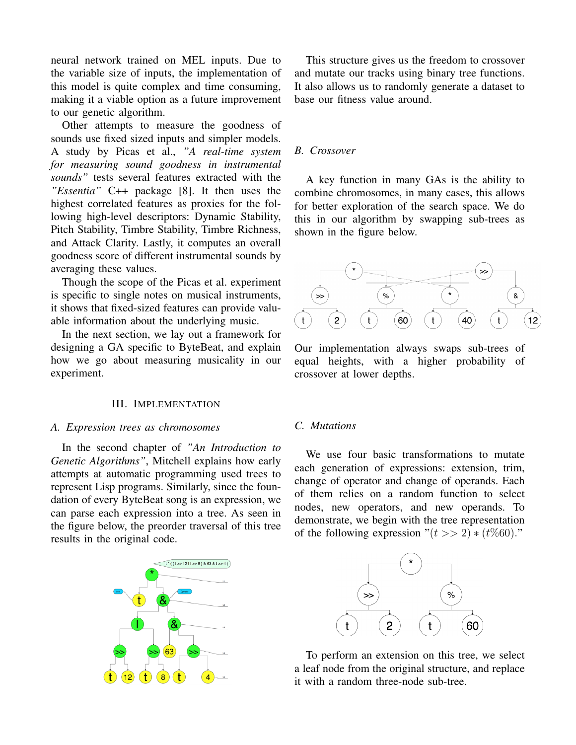neural network trained on MEL inputs. Due to the variable size of inputs, the implementation of this model is quite complex and time consuming, making it a viable option as a future improvement to our genetic algorithm.

Other attempts to measure the goodness of sounds use fixed sized inputs and simpler models. A study by Picas et al., *"A real-time system for measuring sound goodness in instrumental sounds"* tests several features extracted with the *"Essentia"* C++ package [8]. It then uses the highest correlated features as proxies for the following high-level descriptors: Dynamic Stability, Pitch Stability, Timbre Stability, Timbre Richness, and Attack Clarity. Lastly, it computes an overall goodness score of different instrumental sounds by averaging these values.

Though the scope of the Picas et al. experiment is specific to single notes on musical instruments, it shows that fixed-sized features can provide valuable information about the underlying music.

In the next section, we lay out a framework for designing a GA specific to ByteBeat, and explain how we go about measuring musicality in our experiment.

## III. IMPLEMENTATION

#### *A. Expression trees as chromosomes*

In the second chapter of *"An Introduction to Genetic Algorithms"*, Mitchell explains how early attempts at automatic programming used trees to represent Lisp programs. Similarly, since the foundation of every ByteBeat song is an expression, we can parse each expression into a tree. As seen in the figure below, the preorder traversal of this tree results in the original code.



This structure gives us the freedom to crossover and mutate our tracks using binary tree functions. It also allows us to randomly generate a dataset to base our fitness value around.

## *B. Crossover*

A key function in many GAs is the ability to combine chromosomes, in many cases, this allows for better exploration of the search space. We do this in our algorithm by swapping sub-trees as shown in the figure below.



Our implementation always swaps sub-trees of equal heights, with a higher probability of crossover at lower depths.

## *C. Mutations*

We use four basic transformations to mutate each generation of expressions: extension, trim, change of operator and change of operands. Each of them relies on a random function to select nodes, new operators, and new operands. To demonstrate, we begin with the tree representation of the following expression " $(t \gg 2) * (t\%60)$ ."



To perform an extension on this tree, we select a leaf node from the original structure, and replace it with a random three-node sub-tree.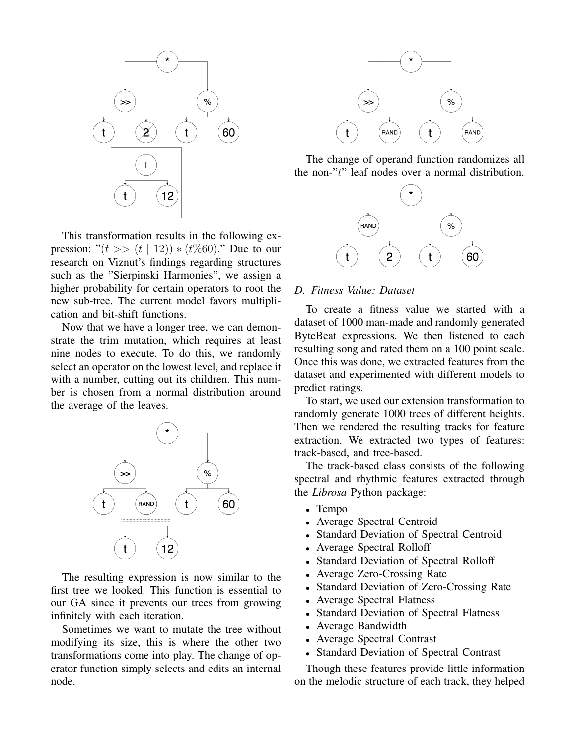

This transformation results in the following expression: " $(t \gg (t | 12)) * (t \% 60)$ ." Due to our research on Viznut's findings regarding structures such as the "Sierpinski Harmonies", we assign a higher probability for certain operators to root the new sub-tree. The current model favors multiplication and bit-shift functions.

Now that we have a longer tree, we can demonstrate the trim mutation, which requires at least nine nodes to execute. To do this, we randomly select an operator on the lowest level, and replace it with a number, cutting out its children. This number is chosen from a normal distribution around the average of the leaves.



The resulting expression is now similar to the first tree we looked. This function is essential to our GA since it prevents our trees from growing infinitely with each iteration.

Sometimes we want to mutate the tree without modifying its size, this is where the other two transformations come into play. The change of operator function simply selects and edits an internal node.



The change of operand function randomizes all the non-"t" leaf nodes over a normal distribution.



### *D. Fitness Value: Dataset*

To create a fitness value we started with a dataset of 1000 man-made and randomly generated ByteBeat expressions. We then listened to each resulting song and rated them on a 100 point scale. Once this was done, we extracted features from the dataset and experimented with different models to predict ratings.

To start, we used our extension transformation to randomly generate 1000 trees of different heights. Then we rendered the resulting tracks for feature extraction. We extracted two types of features: track-based, and tree-based.

The track-based class consists of the following spectral and rhythmic features extracted through the *Librosa* Python package:

- Tempo
- Average Spectral Centroid
- Standard Deviation of Spectral Centroid
- Average Spectral Rolloff
- Standard Deviation of Spectral Rolloff
- Average Zero-Crossing Rate
- Standard Deviation of Zero-Crossing Rate
- Average Spectral Flatness
- Standard Deviation of Spectral Flatness
- Average Bandwidth
- Average Spectral Contrast
- Standard Deviation of Spectral Contrast

Though these features provide little information on the melodic structure of each track, they helped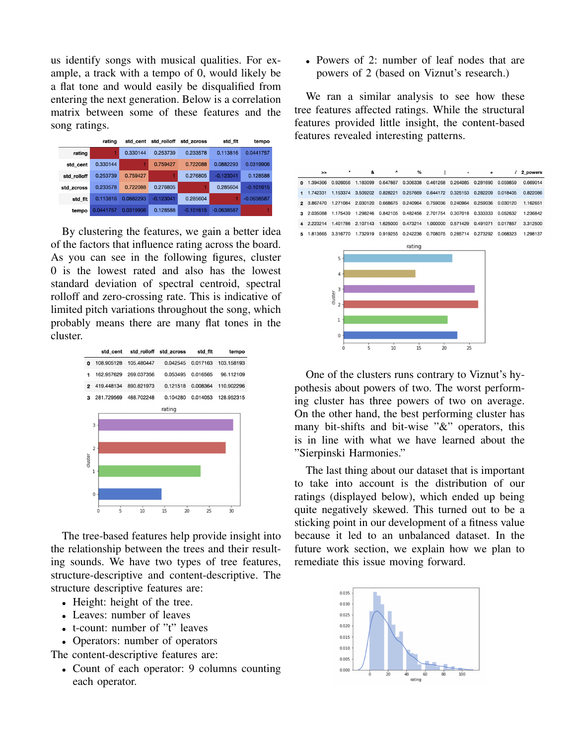us identify songs with musical qualities. For example, a track with a tempo of 0, would likely be a flat tone and would easily be disqualified from entering the next generation. Below is a correlation matrix between some of these features and the song ratings.

|             | rating    | std cent  | std rolloff | std zcross  | std flt      | tempo        |
|-------------|-----------|-----------|-------------|-------------|--------------|--------------|
| rating      |           | 0.330144  | 0.253739    | 0.233578    | 0.113816     | 0.0441757    |
| std cent    | 0.330144  |           | 0.759427    | 0.722088    | 0.0882293    | 0.0319906    |
| std rolloff | 0.253739  | 0.759427  |             | 0.276805    | $-0.123041$  | 0.128588     |
| std zcross  | 0.233578  | 0.722088  | 0.276805    |             | 0.285604     | $-0.101615$  |
| std flt     | 0.113816  | 0.0882293 | $-0.123041$ | 0.285604    |              | $-0.0638587$ |
| tempo       | 0.0441757 | 0.0319906 | 0.128588    | $-0.101615$ | $-0.0638587$ |              |

By clustering the features, we gain a better idea of the factors that influence rating across the board. As you can see in the following figures, cluster 0 is the lowest rated and also has the lowest standard deviation of spectral centroid, spectral rolloff and zero-crossing rate. This is indicative of limited pitch variations throughout the song, which probably means there are many flat tones in the cluster.

|                | std_cent   | std_rolloff | std_zcross | std_flt  | tempo      |
|----------------|------------|-------------|------------|----------|------------|
| 0              | 108.905128 | 105.480447  | 0.042545   | 0.017163 | 103.158193 |
| 1              | 162.957629 | 269.037356  | 0.053495   | 0.016565 | 96.112109  |
| $\overline{2}$ | 419.448134 | 890.821973  | 0.121518   | 0.008364 | 110.902296 |
| 3              | 281.729569 | 488.702248  | 0.104280   | 0.014053 | 128.952315 |
|                |            |             | rating     |          |            |
|                | 3          |             |            |          |            |
|                | 2          |             |            |          |            |
| duster         | 1          |             |            |          |            |
|                | 0          |             |            |          |            |
|                | 5<br>Ω     | 10          | 15<br>20   | 25       | 30         |

The tree-based features help provide insight into the relationship between the trees and their resulting sounds. We have two types of tree features, structure-descriptive and content-descriptive. The structure descriptive features are:

- Height: height of the tree.
- Leaves: number of leaves
- t-count: number of "t" leaves
- Operators: number of operators

The content-descriptive features are:

• Count of each operator: 9 columns counting each operator.

• Powers of 2: number of leaf nodes that are powers of 2 (based on Viznut's research.)

We ran a similar analysis to see how these tree features affected ratings. While the structural features provided little insight, the content-based features revealed interesting patterns.



One of the clusters runs contrary to Viznut's hypothesis about powers of two. The worst performing cluster has three powers of two on average. On the other hand, the best performing cluster has many bit-shifts and bit-wise "&" operators, this is in line with what we have learned about the "Sierpinski Harmonies."

The last thing about our dataset that is important to take into account is the distribution of our ratings (displayed below), which ended up being quite negatively skewed. This turned out to be a sticking point in our development of a fitness value because it led to an unbalanced dataset. In the future work section, we explain how we plan to remediate this issue moving forward.

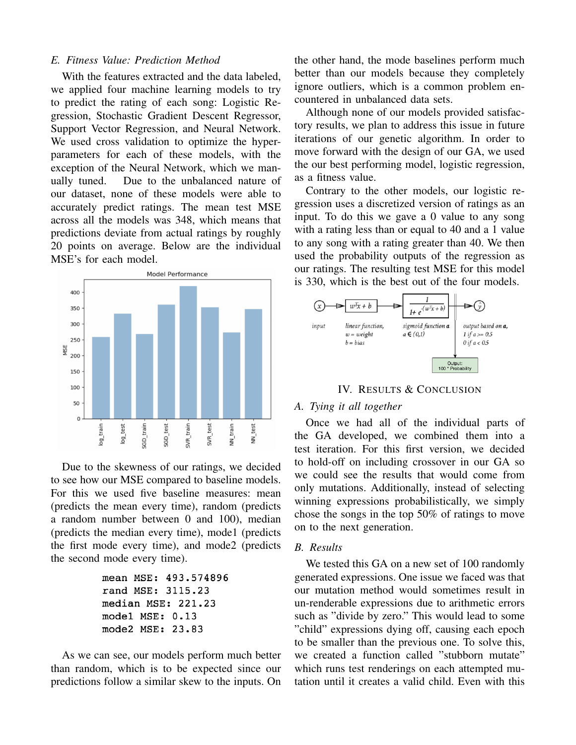## *E. Fitness Value: Prediction Method*

With the features extracted and the data labeled, we applied four machine learning models to try to predict the rating of each song: Logistic Regression, Stochastic Gradient Descent Regressor, Support Vector Regression, and Neural Network. We used cross validation to optimize the hyperparameters for each of these models, with the exception of the Neural Network, which we manually tuned. Due to the unbalanced nature of our dataset, none of these models were able to accurately predict ratings. The mean test MSE across all the models was 348, which means that predictions deviate from actual ratings by roughly 20 points on average. Below are the individual MSE's for each model.



Due to the skewness of our ratings, we decided to see how our MSE compared to baseline models. For this we used five baseline measures: mean (predicts the mean every time), random (predicts a random number between 0 and 100), median (predicts the median every time), mode1 (predicts the first mode every time), and mode2 (predicts the second mode every time).

```
mean MSE: 493.574896
rand MSE: 3115.23
median MSE: 221.23
model MSE: 0.13
mode2 MSE: 23.83
```
As we can see, our models perform much better than random, which is to be expected since our predictions follow a similar skew to the inputs. On the other hand, the mode baselines perform much better than our models because they completely ignore outliers, which is a common problem encountered in unbalanced data sets.

Although none of our models provided satisfactory results, we plan to address this issue in future iterations of our genetic algorithm. In order to move forward with the design of our GA, we used the our best performing model, logistic regression, as a fitness value.

Contrary to the other models, our logistic regression uses a discretized version of ratings as an input. To do this we gave a 0 value to any song with a rating less than or equal to 40 and a 1 value to any song with a rating greater than 40. We then used the probability outputs of the regression as our ratings. The resulting test MSE for this model is 330, which is the best out of the four models.



IV. RESULTS & CONCLUSION

# *A. Tying it all together*

Once we had all of the individual parts of the GA developed, we combined them into a test iteration. For this first version, we decided to hold-off on including crossover in our GA so we could see the results that would come from only mutations. Additionally, instead of selecting winning expressions probabilistically, we simply chose the songs in the top 50% of ratings to move on to the next generation.

## *B. Results*

We tested this GA on a new set of 100 randomly generated expressions. One issue we faced was that our mutation method would sometimes result in un-renderable expressions due to arithmetic errors such as "divide by zero." This would lead to some "child" expressions dying off, causing each epoch to be smaller than the previous one. To solve this, we created a function called "stubborn mutate" which runs test renderings on each attempted mutation until it creates a valid child. Even with this